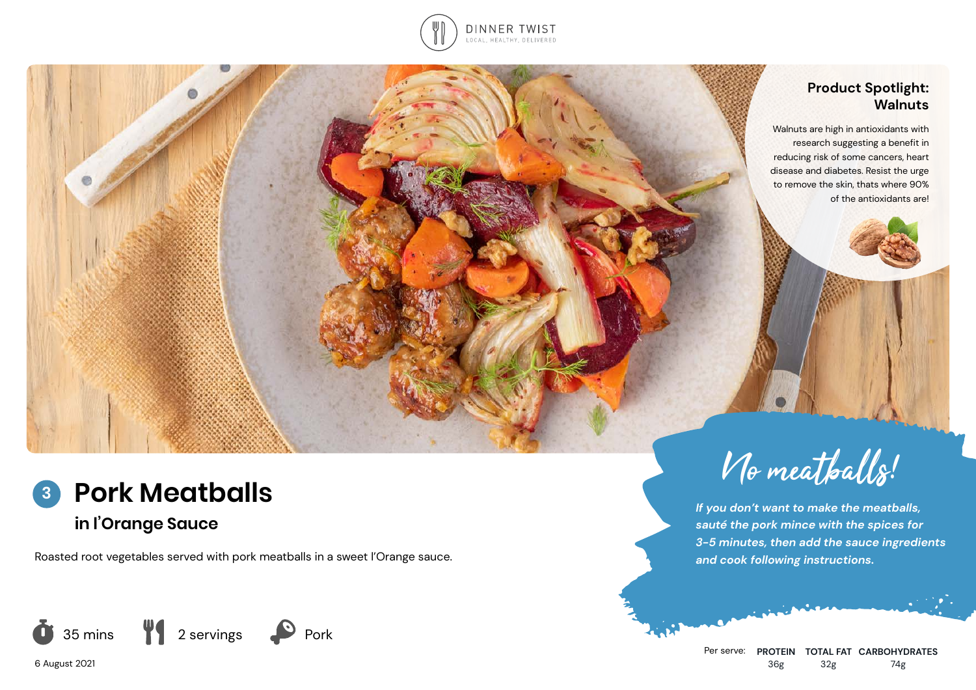

## **Product Spotlight: Walnuts**

Walnuts are high in antioxidants with research suggesting a benefit in reducing risk of some cancers, heart disease and diabetes. Resist the urge to remove the skin, thats where 90% of the antioxidants are!



**in l'Orange Sauce**

Roasted root vegetables served with pork meatballs in a sweet l'Orange sauce.



6 August 2021



*If you don't want to make the meatballs, sauté the pork mince with the spices for 3-5 minutes, then add the sauce ingredients and cook following instructions.*

Per serve: **PROTEIN TOTAL FAT CARBOHYDRATES** 36g 32g 74g